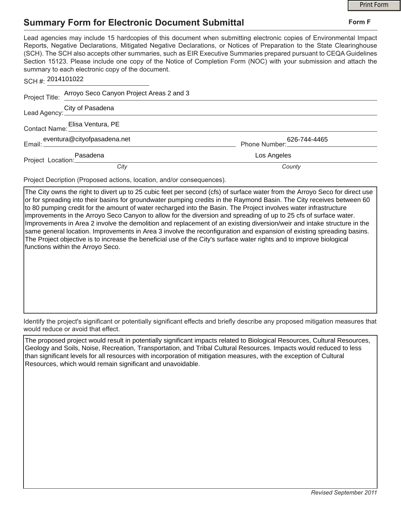## **Summary Form for Electronic Document Submittal**

|                                                                                                                                                                                                                                                                                                                                                                                                                                                                                                                                           |             | <b>Print Form</b> |
|-------------------------------------------------------------------------------------------------------------------------------------------------------------------------------------------------------------------------------------------------------------------------------------------------------------------------------------------------------------------------------------------------------------------------------------------------------------------------------------------------------------------------------------------|-------------|-------------------|
| <b>Summary Form for Electronic Document Submittal</b>                                                                                                                                                                                                                                                                                                                                                                                                                                                                                     |             | Form F            |
| Lead agencies may include 15 hardcopies of this document when submitting electronic copies of Environmental Impact<br>Reports, Negative Declarations, Mitigated Negative Declarations, or Notices of Preparation to the State Clearinghouse<br>(SCH). The SCH also accepts other summaries, such as EIR Executive Summaries prepared pursuant to CEQA Guidelines<br>Section 15123. Please include one copy of the Notice of Completion Form (NOC) with your submission and attach the<br>summary to each electronic copy of the document. |             |                   |
| SCH #: 2014101022                                                                                                                                                                                                                                                                                                                                                                                                                                                                                                                         |             |                   |
| Project Title: Arroyo Seco Canyon Project Areas 2 and 3                                                                                                                                                                                                                                                                                                                                                                                                                                                                                   |             |                   |
| Lead Agency: City of Pasadena<br>Lead Agency: Carrier Management City of Pasadena                                                                                                                                                                                                                                                                                                                                                                                                                                                         |             |                   |
| Contact Name: Elisa Ventura, PE                                                                                                                                                                                                                                                                                                                                                                                                                                                                                                           |             |                   |
| eventura@cityofpasadena.net                                                                                                                                                                                                                                                                                                                                                                                                                                                                                                               |             |                   |
|                                                                                                                                                                                                                                                                                                                                                                                                                                                                                                                                           | Los Angeles |                   |
| City                                                                                                                                                                                                                                                                                                                                                                                                                                                                                                                                      | County      |                   |

Project Decription (Proposed actions, location, and/or consequences).

The City owns the right to divert up to 25 cubic feet per second (cfs) of surface water from the Arroyo Seco for direct use or for spreading into their basins for groundwater pumping credits in the Raymond Basin. The City receives between 60 to 80 pumping credit for the amount of water recharged into the Basin. The Project involves water infrastructure improvements in the Arroyo Seco Canyon to allow for the diversion and spreading of up to 25 cfs of surface water. Improvements in Area 2 involve the demolition and replacement of an existing diversion/weir and intake structure in the same general location. Improvements in Area 3 involve the reconfiguration and expansion of existing spreading basins. The Project objective is to increase the beneficial use of the City's surface water rights and to improve biological functions within the Arroyo Seco.

Identify the project's significant or potentially significant effects and briefly describe any proposed mitigation measures that would reduce or avoid that effect.

The proposed project would result in potentially significant impacts related to Biological Resources, Cultural Resources, Geology and Soils, Noise, Recreation, Transportation, and Tribal Cultural Resources. Impacts would reduced to less than significant levels for all resources with incorporation of mitigation measures, with the exception of Cultural Resources, which would remain significant and unavoidable.